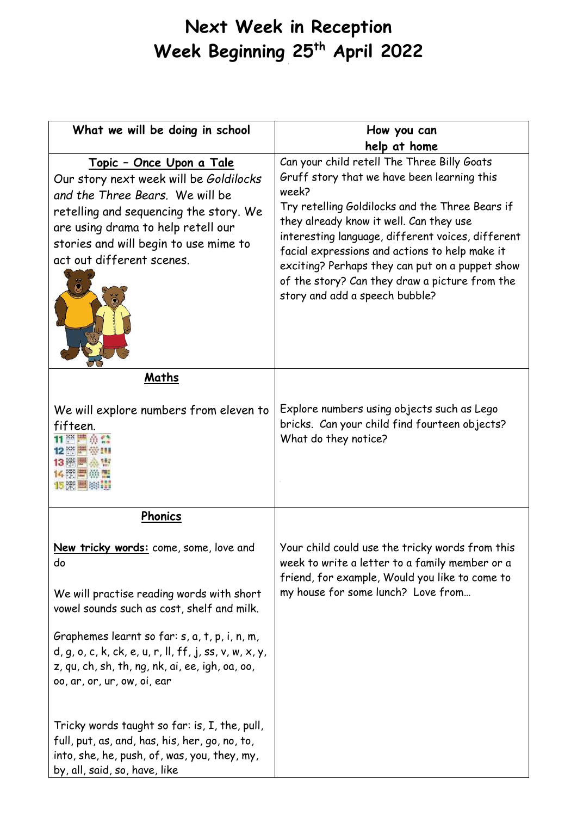## **Next Week in Reception Week Beginning 25th April 2022** I

| What we will be doing in school                                                                                                                                                                                                                                     | How you can                                                                                                                                                                                                                                                                                                                                                                                                                                     |
|---------------------------------------------------------------------------------------------------------------------------------------------------------------------------------------------------------------------------------------------------------------------|-------------------------------------------------------------------------------------------------------------------------------------------------------------------------------------------------------------------------------------------------------------------------------------------------------------------------------------------------------------------------------------------------------------------------------------------------|
|                                                                                                                                                                                                                                                                     | help at home                                                                                                                                                                                                                                                                                                                                                                                                                                    |
| <u> Topic - Once Upon a Tale</u><br>Our story next week will be Goldilocks<br>and the Three Bears. We will be<br>retelling and sequencing the story. We<br>are using drama to help retell our<br>stories and will begin to use mime to<br>act out different scenes. | Can your child retell The Three Billy Goats<br>Gruff story that we have been learning this<br>week?<br>Try retelling Goldilocks and the Three Bears if<br>they already know it well. Can they use<br>interesting language, different voices, different<br>facial expressions and actions to help make it<br>exciting? Perhaps they can put on a puppet show<br>of the story? Can they draw a picture from the<br>story and add a speech bubble? |
| Maths<br>We will explore numbers from eleven to                                                                                                                                                                                                                     | Explore numbers using objects such as Lego<br>bricks. Can your child find fourteen objects?                                                                                                                                                                                                                                                                                                                                                     |
| fifteen.<br>11 ※ 严负益<br>12 ※ ■ ※ Ⅲ<br>13 樂圖 杰 盟<br>化器墨磁雷<br>1500 - 国中川                                                                                                                                                                                              | What do they notice?                                                                                                                                                                                                                                                                                                                                                                                                                            |
| Phonics                                                                                                                                                                                                                                                             |                                                                                                                                                                                                                                                                                                                                                                                                                                                 |
| New tricky words: come, some, love and<br>do<br>We will practise reading words with short<br>vowel sounds such as cost, shelf and milk.                                                                                                                             | Your child could use the tricky words from this<br>week to write a letter to a family member or a<br>friend, for example, Would you like to come to<br>my house for some lunch? Love from                                                                                                                                                                                                                                                       |
| Graphemes learnt so far: s, a, t, p, i, n, m,<br>$d, g, o, c, k, ck, e, u, r, ll, ff, j, ss, v, w, x, y,$<br>z, qu, ch, sh, th, ng, nk, ai, ee, igh, oa, oo,<br>oo, ar, or, ur, ow, oi, ear                                                                         |                                                                                                                                                                                                                                                                                                                                                                                                                                                 |
| Tricky words taught so far: is, I, the, pull,<br>full, put, as, and, has, his, her, go, no, to,<br>into, she, he, push, of, was, you, they, my,<br>by, all, said, so, have, like                                                                                    |                                                                                                                                                                                                                                                                                                                                                                                                                                                 |